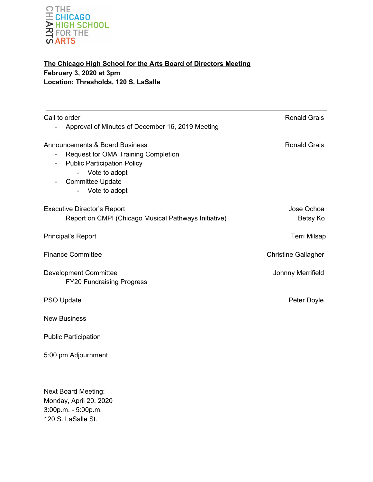

# **The Chicago High School for the Arts Board of Directors Meeting February 3, 2020 at 3pm Location: Thresholds, 120 S. LaSalle**

| Call to order<br>Approval of Minutes of December 16, 2019 Meeting                                                            | <b>Ronald Grais</b>        |
|------------------------------------------------------------------------------------------------------------------------------|----------------------------|
| <b>Announcements &amp; Board Business</b><br>Request for OMA Training Completion<br>÷,<br><b>Public Participation Policy</b> | <b>Ronald Grais</b>        |
| Vote to adopt<br><b>Committee Update</b><br>Vote to adopt                                                                    |                            |
| <b>Executive Director's Report</b><br>Report on CMPI (Chicago Musical Pathways Initiative)                                   | Jose Ochoa<br>Betsy Ko     |
| Principal's Report                                                                                                           | <b>Terri Milsap</b>        |
| <b>Finance Committee</b>                                                                                                     | <b>Christine Gallagher</b> |
| <b>Development Committee</b><br><b>FY20 Fundraising Progress</b>                                                             | Johnny Merrifield          |
| PSO Update                                                                                                                   | Peter Doyle                |
| <b>New Business</b>                                                                                                          |                            |
| <b>Public Participation</b>                                                                                                  |                            |
| 5:00 pm Adjournment                                                                                                          |                            |
| <b>Next Board Meeting:</b><br>Monday, April 20, 2020<br>3:00p.m. - 5:00p.m.<br>120 S. LaSalle St.                            |                            |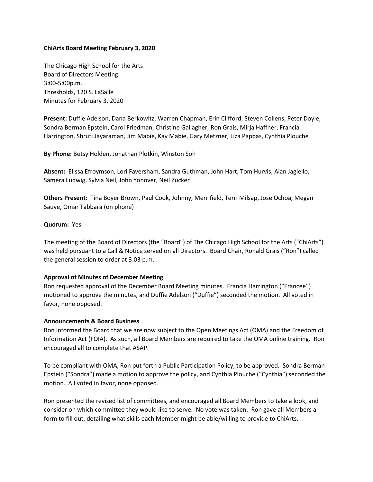# **ChiArts Board Meeting February 3, 2020**

The Chicago High School for the Arts Board of Directors Meeting 3:00-5:00p.m. Thresholds, 120 S. LaSalle Minutes for February 3, 2020

**Present:** Duffie Adelson, Dana Berkowitz, Warren Chapman, Erin Clifford, Steven Collens, Peter Doyle, Sondra Berman Epstein, Carol Friedman, Christine Gallagher, Ron Grais, Mirja Haffner, Francia Harrington, Shruti Jayaraman, Jim Mabie, Kay Mabie, Gary Metzner, Liza Pappas, Cynthia Plouche

**By Phone:** Betsy Holden, Jonathan Plotkin, Winston Soh

**Absent:** Elissa Efroymson, Lori Faversham, Sandra Guthman, John Hart, Tom Hurvis, Alan Jagiello, Samera Ludwig, Sylvia Neil, John Yonover, Neil Zucker

**Others Present**: Tina Boyer Brown, Paul Cook, Johnny, Merrifield, Terri Milsap, Jose Ochoa, Megan Sauve, Omar Tabbara (on phone)

## **Quorum:** Yes

The meeting of the Board of Directors (the "Board") of The Chicago High School for the Arts ("ChiArts") was held pursuant to a Call & Notice served on all Directors. Board Chair, Ronald Grais ("Ron") called the general session to order at 3:03 p.m.

## **Approval of Minutes of December Meeting**

Ron requested approval of the December Board Meeting minutes. Francia Harrington ("Francee") motioned to approve the minutes, and Duffie Adelson ("Duffie") seconded the motion. All voted in favor, none opposed.

## **Announcements & Board Business**

Ron informed the Board that we are now subject to the Open Meetings Act (OMA) and the Freedom of Information Act (FOIA). As such, all Board Members are required to take the OMA online training. Ron encouraged all to complete that ASAP.

To be compliant with OMA, Ron put forth a Public Participation Policy, to be approved. Sondra Berman Epstein ("Sondra") made a motion to approve the policy, and Cynthia Plouche ("Cynthia") seconded the motion. All voted in favor, none opposed.

Ron presented the revised list of committees, and encouraged all Board Members to take a look, and consider on which committee they would like to serve. No vote was taken. Ron gave all Members a form to fill out, detailing what skills each Member might be able/willing to provide to ChiArts.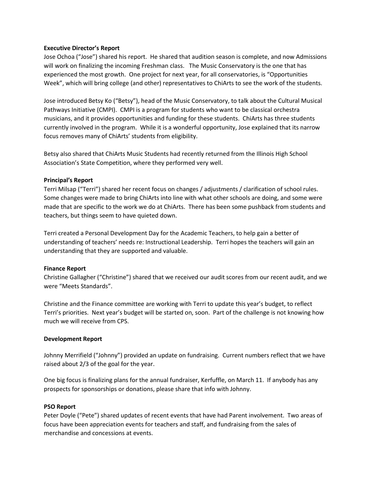## **Executive Director's Report**

Jose Ochoa ("Jose") shared his report. He shared that audition season is complete, and now Admissions will work on finalizing the incoming Freshman class. The Music Conservatory is the one that has experienced the most growth. One project for next year, for all conservatories, is "Opportunities Week", which will bring college (and other) representatives to ChiArts to see the work of the students.

Jose introduced Betsy Ko ("Betsy"), head of the Music Conservatory, to talk about the Cultural Musical Pathways Initiative (CMPI). CMPI is a program for students who want to be classical orchestra musicians, and it provides opportunities and funding for these students. ChiArts has three students currently involved in the program. While it is a wonderful opportunity, Jose explained that its narrow focus removes many of ChiArts' students from eligibility.

Betsy also shared that ChiArts Music Students had recently returned from the Illinois High School Association's State Competition, where they performed very well.

## **Principal's Report**

Terri Milsap ("Terri") shared her recent focus on changes / adjustments / clarification of school rules. Some changes were made to bring ChiArts into line with what other schools are doing, and some were made that are specific to the work we do at ChiArts. There has been some pushback from students and teachers, but things seem to have quieted down.

Terri created a Personal Development Day for the Academic Teachers, to help gain a better of understanding of teachers' needs re: Instructional Leadership. Terri hopes the teachers will gain an understanding that they are supported and valuable.

## **Finance Report**

Christine Gallagher ("Christine") shared that we received our audit scores from our recent audit, and we were "Meets Standards".

Christine and the Finance committee are working with Terri to update this year's budget, to reflect Terri's priorities. Next year's budget will be started on, soon. Part of the challenge is not knowing how much we will receive from CPS.

# **Development Report**

Johnny Merrifield ("Johnny") provided an update on fundraising. Current numbers reflect that we have raised about 2/3 of the goal for the year.

One big focus is finalizing plans for the annual fundraiser, Kerfuffle, on March 11. If anybody has any prospects for sponsorships or donations, please share that info with Johnny.

## **PSO Report**

Peter Doyle ("Pete") shared updates of recent events that have had Parent involvement. Two areas of focus have been appreciation events for teachers and staff, and fundraising from the sales of merchandise and concessions at events.